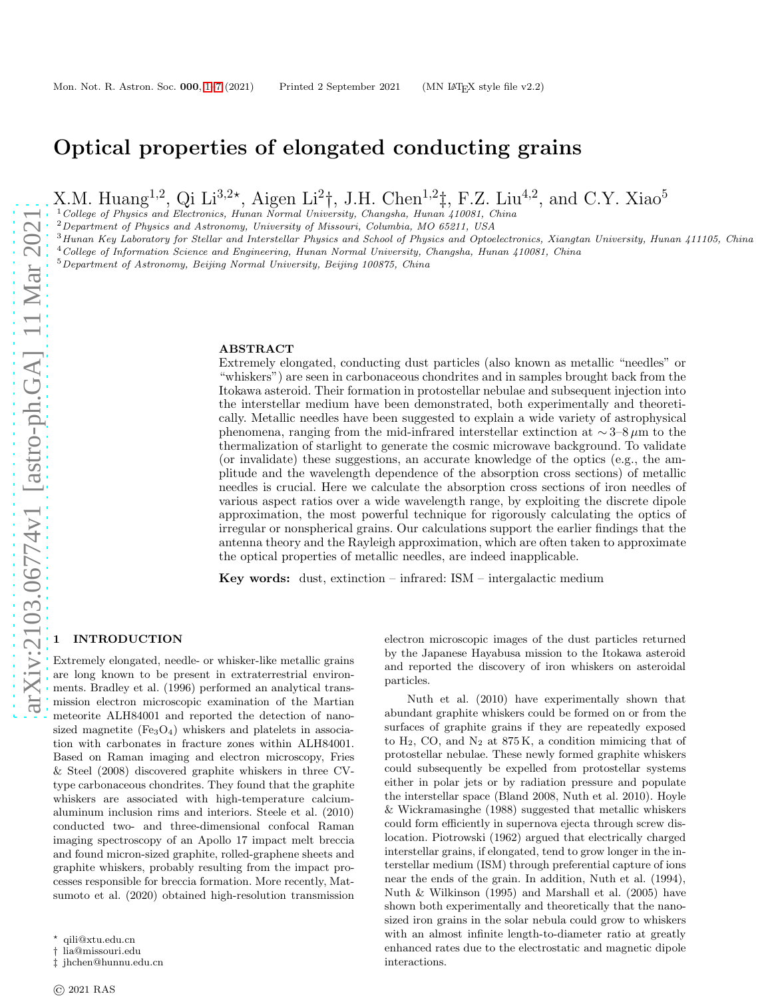# Optical properties of elongated conducting grains

X.M. Huang<sup>1,2</sup>, Qi Li<sup>3,2\*</sup>, Aigen Li<sup>2</sup>†, J.H. Chen<sup>1,2</sup>‡, F.Z. Liu<sup>4,2</sup>, and C.Y. Xiao<sup>5</sup>

<sup>1</sup>College of Physics and Electronics, Hunan Normal University, Changsha, Hunan 410081, China

<sup>2</sup>Department of Physics and Astronomy, University of Missouri, Columbia, MO 65211, USA

<sup>3</sup> Hunan Key Laboratory for Stellar and Interstellar Physics and School of Physics and Optoelectronics, Xiangtan University, Hunan 411105, China

 $^4$  College of Information Science and Engineering, Hunan Normal University, Changsha, Hunan 410081, China

<sup>5</sup>Department of Astronomy, Beijing Normal University, Beijing 100875, China

#### ABSTRACT

Extremely elongated, conducting dust particles (also known as metallic "needles" or "whiskers") are seen in carbonaceous chondrites and in samples brought back from the Itokawa asteroid. Their formation in protostellar nebulae and subsequent injection into the interstellar medium have been demonstrated, both experimentally and theoretically. Metallic needles have been suggested to explain a wide variety of astrophysical phenomena, ranging from the mid-infrared interstellar extinction at ∼ 3–8 µm to the thermalization of starlight to generate the cosmic microwave background. To validate (or invalidate) these suggestions, an accurate knowledge of the optics (e.g., the amplitude and the wavelength dependence of the absorption cross sections) of metallic needles is crucial. Here we calculate the absorption cross sections of iron needles of various aspect ratios over a wide wavelength range, by exploiting the discrete dipole approximation, the most powerful technique for rigorously calculating the optics of irregular or nonspherical grains. Our calculations support the earlier findings that the antenna theory and the Rayleigh approximation, which are often taken to approximate the optical properties of metallic needles, are indeed inapplicable.

Key words: dust, extinction – infrared: ISM – intergalactic medium

## <span id="page-0-0"></span>**INTRODUCTION**

Extremely elongated, needle- or whisker-like metallic grains are long known to be present in extraterrestrial environments. Bradley et al. (1996) performed an analytical transmission electron microscopic examination of the Martian meteorite ALH84001 and reported the detection of nanosized magnetite  $(FegO_4)$  whiskers and platelets in association with carbonates in fracture zones within ALH84001. Based on Raman imaging and electron microscopy, Fries & Steel (2008) discovered graphite whiskers in three CVtype carbonaceous chondrites. They found that the graphite whiskers are associated with high-temperature calciumaluminum inclusion rims and interiors. Steele et al. (2010) conducted two- and three-dimensional confocal Raman imaging spectroscopy of an Apollo 17 impact melt breccia and found micron-sized graphite, rolled-graphene sheets and graphite whiskers, probably resulting from the impact processes responsible for breccia formation. More recently, Matsumoto et al. (2020) obtained high-resolution transmission

electron microscopic images of the dust particles returned by the Japanese Hayabusa mission to the Itokawa asteroid and reported the discovery of iron whiskers on asteroidal particles.

Nuth et al. (2010) have experimentally shown that abundant graphite whiskers could be formed on or from the surfaces of graphite grains if they are repeatedly exposed to  $H_2$ , CO, and  $N_2$  at 875 K, a condition mimicing that of protostellar nebulae. These newly formed graphite whiskers could subsequently be expelled from protostellar systems either in polar jets or by radiation pressure and populate the interstellar space (Bland 2008, Nuth et al. 2010). Hoyle & Wickramasinghe (1988) suggested that metallic whiskers could form efficiently in supernova ejecta through screw dislocation. Piotrowski (1962) argued that electrically charged interstellar grains, if elongated, tend to grow longer in the interstellar medium (ISM) through preferential capture of ions near the ends of the grain. In addition, Nuth et al. (1994), Nuth & Wilkinson (1995) and Marshall et al. (2005) have shown both experimentally and theoretically that the nanosized iron grains in the solar nebula could grow to whiskers with an almost infinite length-to-diameter ratio at greatly enhanced rates due to the electrostatic and magnetic dipole interactions.

 $^\star\,$ qili@xtu.edu.cn

<sup>†</sup> lia@missouri.edu

<sup>‡</sup> jhchen@hunnu.edu.cn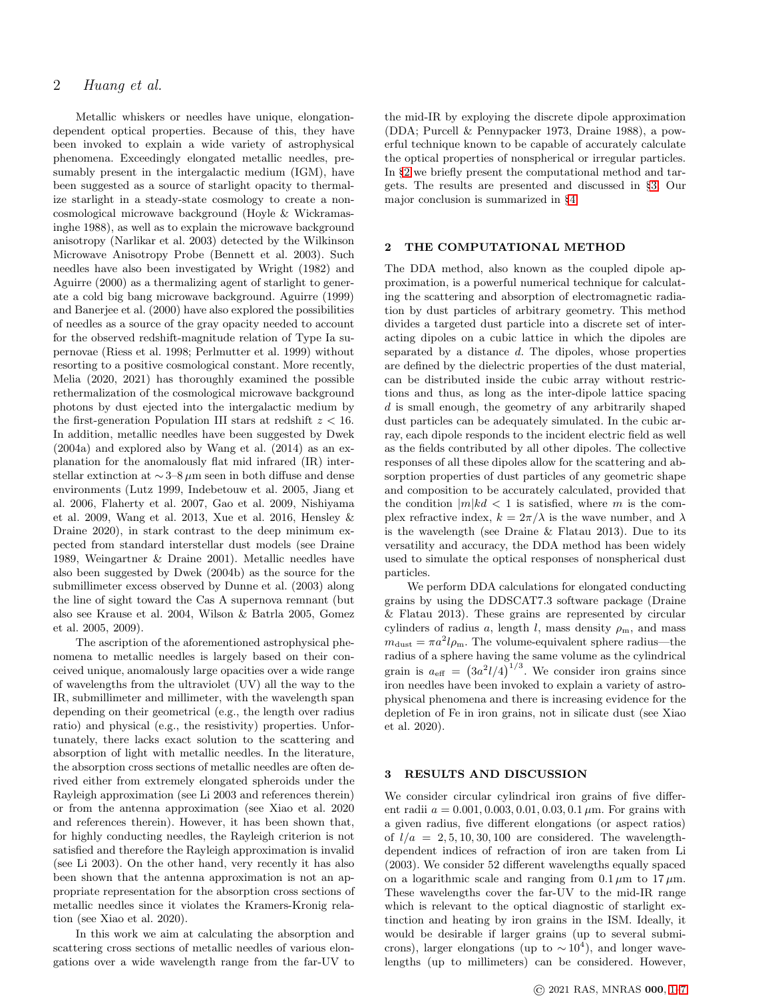Metallic whiskers or needles have unique, elongationdependent optical properties. Because of this, they have been invoked to explain a wide variety of astrophysical phenomena. Exceedingly elongated metallic needles, presumably present in the intergalactic medium (IGM), have been suggested as a source of starlight opacity to thermalize starlight in a steady-state cosmology to create a noncosmological microwave background (Hoyle & Wickramasinghe 1988), as well as to explain the microwave background anisotropy (Narlikar et al. 2003) detected by the Wilkinson Microwave Anisotropy Probe (Bennett et al. 2003). Such needles have also been investigated by Wright (1982) and Aguirre (2000) as a thermalizing agent of starlight to generate a cold big bang microwave background. Aguirre (1999) and Banerjee et al. (2000) have also explored the possibilities of needles as a source of the gray opacity needed to account for the observed redshift-magnitude relation of Type Ia supernovae (Riess et al. 1998; Perlmutter et al. 1999) without resorting to a positive cosmological constant. More recently, Melia (2020, 2021) has thoroughly examined the possible rethermalization of the cosmological microwave background photons by dust ejected into the intergalactic medium by the first-generation Population III stars at redshift  $z < 16$ . In addition, metallic needles have been suggested by Dwek (2004a) and explored also by Wang et al. (2014) as an explanation for the anomalously flat mid infrared (IR) interstellar extinction at  $\sim$  3–8  $\mu$ m seen in both diffuse and dense environments (Lutz 1999, Indebetouw et al. 2005, Jiang et al. 2006, Flaherty et al. 2007, Gao et al. 2009, Nishiyama et al. 2009, Wang et al. 2013, Xue et al. 2016, Hensley & Draine 2020), in stark contrast to the deep minimum expected from standard interstellar dust models (see Draine 1989, Weingartner & Draine 2001). Metallic needles have also been suggested by Dwek (2004b) as the source for the submillimeter excess observed by Dunne et al. (2003) along the line of sight toward the Cas A supernova remnant (but also see Krause et al. 2004, Wilson & Batrla 2005, Gomez et al. 2005, 2009).

The ascription of the aforementioned astrophysical phenomena to metallic needles is largely based on their conceived unique, anomalously large opacities over a wide range of wavelengths from the ultraviolet (UV) all the way to the IR, submillimeter and millimeter, with the wavelength span depending on their geometrical (e.g., the length over radius ratio) and physical (e.g., the resistivity) properties. Unfortunately, there lacks exact solution to the scattering and absorption of light with metallic needles. In the literature, the absorption cross sections of metallic needles are often derived either from extremely elongated spheroids under the Rayleigh approximation (see Li 2003 and references therein) or from the antenna approximation (see Xiao et al. 2020 and references therein). However, it has been shown that, for highly conducting needles, the Rayleigh criterion is not satisfied and therefore the Rayleigh approximation is invalid (see Li 2003). On the other hand, very recently it has also been shown that the antenna approximation is not an appropriate representation for the absorption cross sections of metallic needles since it violates the Kramers-Kronig relation (see Xiao et al. 2020).

In this work we aim at calculating the absorption and scattering cross sections of metallic needles of various elongations over a wide wavelength range from the far-UV to the mid-IR by exploying the discrete dipole approximation (DDA; Purcell & Pennypacker 1973, Draine 1988), a powerful technique known to be capable of accurately calculate the optical properties of nonspherical or irregular particles. In §[2](#page-1-0) we briefly present the computational method and targets. The results are presented and discussed in §[3.](#page-1-1) Our major conclusion is summarized in §[4.](#page-4-0)

## <span id="page-1-0"></span>2 THE COMPUTATIONAL METHOD

The DDA method, also known as the coupled dipole approximation, is a powerful numerical technique for calculating the scattering and absorption of electromagnetic radiation by dust particles of arbitrary geometry. This method divides a targeted dust particle into a discrete set of interacting dipoles on a cubic lattice in which the dipoles are separated by a distance d. The dipoles, whose properties are defined by the dielectric properties of the dust material, can be distributed inside the cubic array without restrictions and thus, as long as the inter-dipole lattice spacing d is small enough, the geometry of any arbitrarily shaped dust particles can be adequately simulated. In the cubic array, each dipole responds to the incident electric field as well as the fields contributed by all other dipoles. The collective responses of all these dipoles allow for the scattering and absorption properties of dust particles of any geometric shape and composition to be accurately calculated, provided that the condition  $|m|kd < 1$  is satisfied, where m is the complex refractive index,  $k = 2\pi/\lambda$  is the wave number, and  $\lambda$ is the wavelength (see Draine & Flatau 2013). Due to its versatility and accuracy, the DDA method has been widely used to simulate the optical responses of nonspherical dust particles.

We perform DDA calculations for elongated conducting grains by using the DDSCAT7.3 software package (Draine & Flatau 2013). These grains are represented by circular cylinders of radius a, length l, mass density  $\rho_{\rm m}$ , and mass  $m_{\text{dust}} = \pi a^2 l \rho_{\text{m}}$ . The volume-equivalent sphere radius—the radius of a sphere having the same volume as the cylindrical grain is  $a_{\text{eff}} = (3a^2 l/4)^{1/3}$ . We consider iron grains since iron needles have been invoked to explain a variety of astrophysical phenomena and there is increasing evidence for the depletion of Fe in iron grains, not in silicate dust (see Xiao et al. 2020).

### <span id="page-1-1"></span>3 RESULTS AND DISCUSSION

We consider circular cylindrical iron grains of five different radii  $a = 0.001, 0.003, 0.01, 0.03, 0.1 \,\mu \text{m}$ . For grains with a given radius, five different elongations (or aspect ratios) of  $l/a = 2, 5, 10, 30, 100$  are considered. The wavelengthdependent indices of refraction of iron are taken from Li (2003). We consider 52 different wavelengths equally spaced on a logarithmic scale and ranging from  $0.1 \mu m$  to  $17 \mu m$ . These wavelengths cover the far-UV to the mid-IR range which is relevant to the optical diagnostic of starlight extinction and heating by iron grains in the ISM. Ideally, it would be desirable if larger grains (up to several submicrons), larger elongations (up to  $\sim 10^4$ ), and longer wavelengths (up to millimeters) can be considered. However,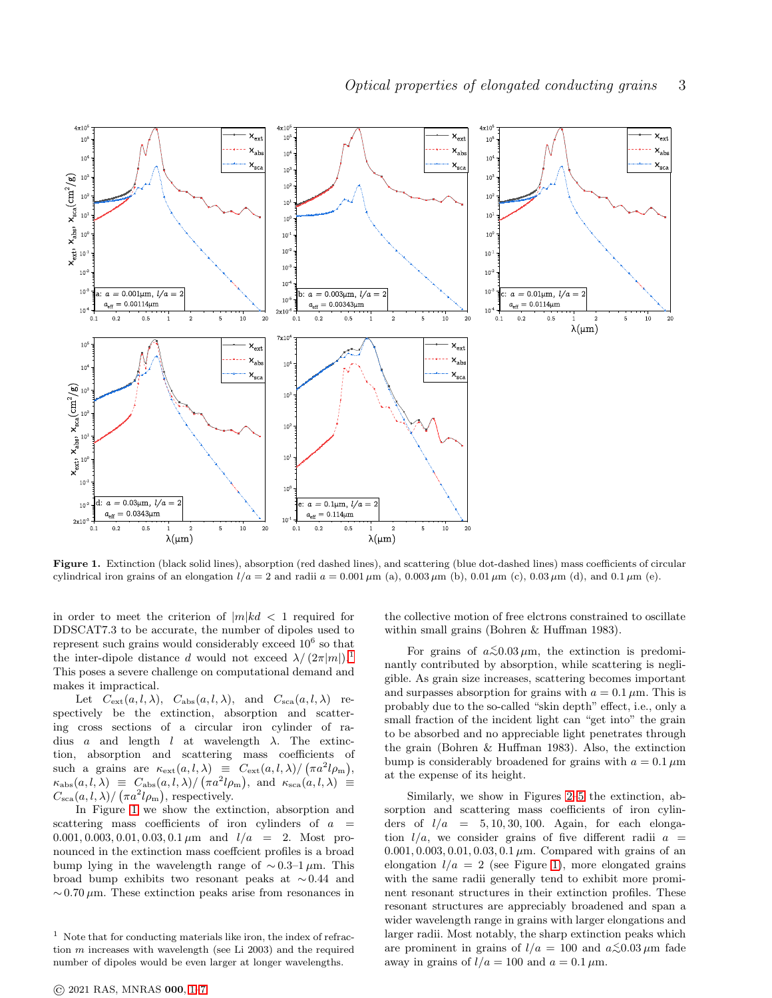

<span id="page-2-1"></span>Figure 1. Extinction (black solid lines), absorption (red dashed lines), and scattering (blue dot-dashed lines) mass coefficients of circular cylindrical iron grains of an elongation  $l/a = 2$  and radii  $a = 0.001 \mu m$  (a),  $0.003 \mu m$  (b),  $0.01 \mu m$  (c),  $0.03 \mu m$  (d), and  $0.1 \mu m$  (e).

in order to meet the criterion of  $|m|kd < 1$  required for DDSCAT7.3 to be accurate, the number of dipoles used to represent such grains would considerably exceed  $10^6$  so that the inter-dipole distance d would not exceed  $\lambda/(2\pi|m|)^{1}$  $\lambda/(2\pi|m|)^{1}$  $\lambda/(2\pi|m|)^{1}$ . This poses a severe challenge on computational demand and makes it impractical.

Let  $C_{ext}(a, l, \lambda), C_{abs}(a, l, \lambda),$  and  $C_{sea}(a, l, \lambda)$  respectively be the extinction, absorption and scattering cross sections of a circular iron cylinder of radius a and length  $l$  at wavelength  $\lambda$ . The extinction, absorption and scattering mass coefficients of such a grains are  $\kappa_{\text{ext}}(a, l, \lambda) \equiv C_{\text{ext}}(a, l, \lambda) / (\pi a^2 l \rho_m),$  $\kappa_{\text{abs}}(a, l, \lambda) \equiv C_{\text{abs}}(a, l, \lambda) / (\pi a^2 l \rho_{\text{m}}), \text{ and } \kappa_{\text{sca}}(a, l, \lambda) \equiv$  $C_{\rm sca}(a, l, \lambda) / (\pi a^2 l \rho_{\rm m})$ , respectively.

In Figure [1](#page-2-1) we show the extinction, absorption and scattering mass coefficients of iron cylinders of  $a =$ 0.001, 0.003, 0.01, 0.03, 0.1  $\mu$ m and  $l/a = 2$ . Most pronounced in the extinction mass coeffcient profiles is a broad bump lying in the wavelength range of  $\sim 0.3-1 \,\mu \text{m}$ . This broad bump exhibits two resonant peaks at ∼ 0.44 and  $\sim 0.70 \,\mu$ m. These extinction peaks arise from resonances in the collective motion of free elctrons constrained to oscillate within small grains (Bohren & Huffman 1983).

For grains of  $a \lesssim 0.03 \,\mu\mathrm{m}$ , the extinction is predominantly contributed by absorption, while scattering is negligible. As grain size increases, scattering becomes important and surpasses absorption for grains with  $a = 0.1 \mu$ m. This is probably due to the so-called "skin depth" effect, i.e., only a small fraction of the incident light can "get into" the grain to be absorbed and no appreciable light penetrates through the grain (Bohren & Huffman 1983). Also, the extinction bump is considerably broadened for grains with  $a = 0.1 \,\mu\text{m}$ at the expense of its height.

Similarly, we show in Figures [2–](#page-3-0)[5](#page-6-0) the extinction, absorption and scattering mass coefficients of iron cylinders of  $l/a = 5, 10, 30, 100$ . Again, for each elongation  $l/a$ , we consider grains of five different radii  $a =$ 0.001, 0.003, 0.01, 0.03, 0.1  $\mu$ m. Compared with grains of an elongation  $l/a = 2$  (see Figure [1\)](#page-2-1), more elongated grains with the same radii generally tend to exhibit more prominent resonant structures in their extinction profiles. These resonant structures are appreciably broadened and span a wider wavelength range in grains with larger elongations and larger radii. Most notably, the sharp extinction peaks which are prominent in grains of  $l/a = 100$  and  $a \le 0.03 \,\mu \text{m}$  fade away in grains of  $l/a = 100$  and  $a = 0.1 \,\mu\text{m}$ .

<span id="page-2-0"></span> $1$  Note that for conducting materials like iron, the index of refraction m increases with wavelength (see Li 2003) and the required number of dipoles would be even larger at longer wavelengths.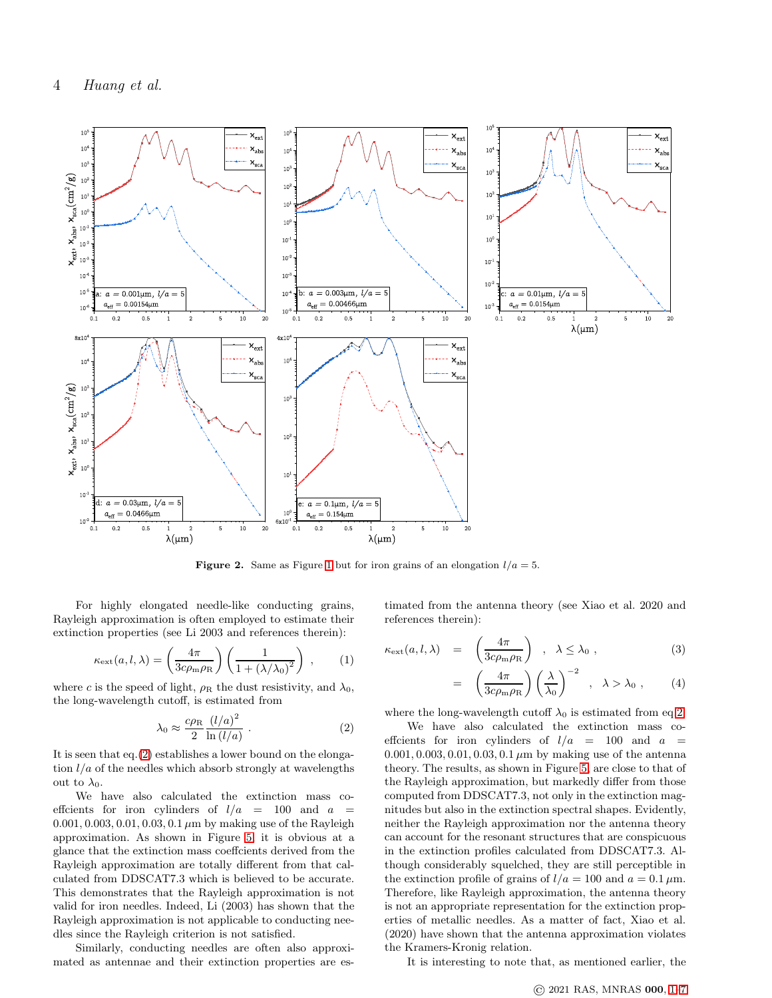

<span id="page-3-0"></span>**Figure 2.** Same as Figure [1](#page-2-1) but for iron grains of an elongation  $l/a = 5$ .

For highly elongated needle-like conducting grains, Rayleigh approximation is often employed to estimate their extinction properties (see Li 2003 and references therein):

$$
\kappa_{\rm ext}(a,l,\lambda) = \left(\frac{4\pi}{3c\rho_{\rm m}\rho_{\rm R}}\right) \left(\frac{1}{1 + (\lambda/\lambda_0)^2}\right) ,\qquad(1)
$$

where c is the speed of light,  $\rho_R$  the dust resistivity, and  $\lambda_0$ , the long-wavelength cutoff, is estimated from

<span id="page-3-1"></span>
$$
\lambda_0 \approx \frac{c\rho_{\rm R}}{2} \frac{(l/a)^2}{\ln(l/a)} . \tag{2}
$$

It is seen that eq.[\(2\)](#page-3-1) establishes a lower bound on the elongation  $l/a$  of the needles which absorb strongly at wavelengths out to  $\lambda_0$ .

We have also calculated the extinction mass coeffcients for iron cylinders of  $l/a = 100$  and  $a =$ 0.001, 0.003, 0.01, 0.03, 0.1  $\mu$ m by making use of the Rayleigh approximation. As shown in Figure [5,](#page-6-0) it is obvious at a glance that the extinction mass coeffcients derived from the Rayleigh approximation are totally different from that calculated from DDSCAT7.3 which is believed to be accurate. This demonstrates that the Rayleigh approximation is not valid for iron needles. Indeed, Li (2003) has shown that the Rayleigh approximation is not applicable to conducting needles since the Rayleigh criterion is not satisfied.

Similarly, conducting needles are often also approximated as antennae and their extinction properties are estimated from the antenna theory (see Xiao et al. 2020 and references therein):

$$
\kappa_{\rm ext}(a,l,\lambda) = \left(\frac{4\pi}{3c\rho_{\rm m}\rho_{\rm R}}\right), \lambda \leq \lambda_0,
$$
\n(3)

$$
= \left(\frac{4\pi}{3c\rho_{\rm m}\rho_{\rm R}}\right)\left(\frac{\lambda}{\lambda_0}\right)^{-2} , \lambda > \lambda_0 , \qquad (4)
$$

where the long-wavelength cutoff  $\lambda_0$  is estimated from eq[.2.](#page-3-1)

We have also calculated the extinction mass coefficients for iron cylinders of  $l/a = 100$  and  $a =$ 0.001, 0.003, 0.01, 0.03, 0.1  $\mu$ m by making use of the antenna theory. The results, as shown in Figure [5,](#page-6-0) are close to that of the Rayleigh approximation, but markedly differ from those computed from DDSCAT7.3, not only in the extinction magnitudes but also in the extinction spectral shapes. Evidently, neither the Rayleigh approximation nor the antenna theory can account for the resonant structures that are conspicuous in the extinction profiles calculated from DDSCAT7.3. Although considerably squelched, they are still perceptible in the extinction profile of grains of  $l/a = 100$  and  $a = 0.1 \mu$ m. Therefore, like Rayleigh approximation, the antenna theory is not an appropriate representation for the extinction properties of metallic needles. As a matter of fact, Xiao et al. (2020) have shown that the antenna approximation violates the Kramers-Kronig relation.

It is interesting to note that, as mentioned earlier, the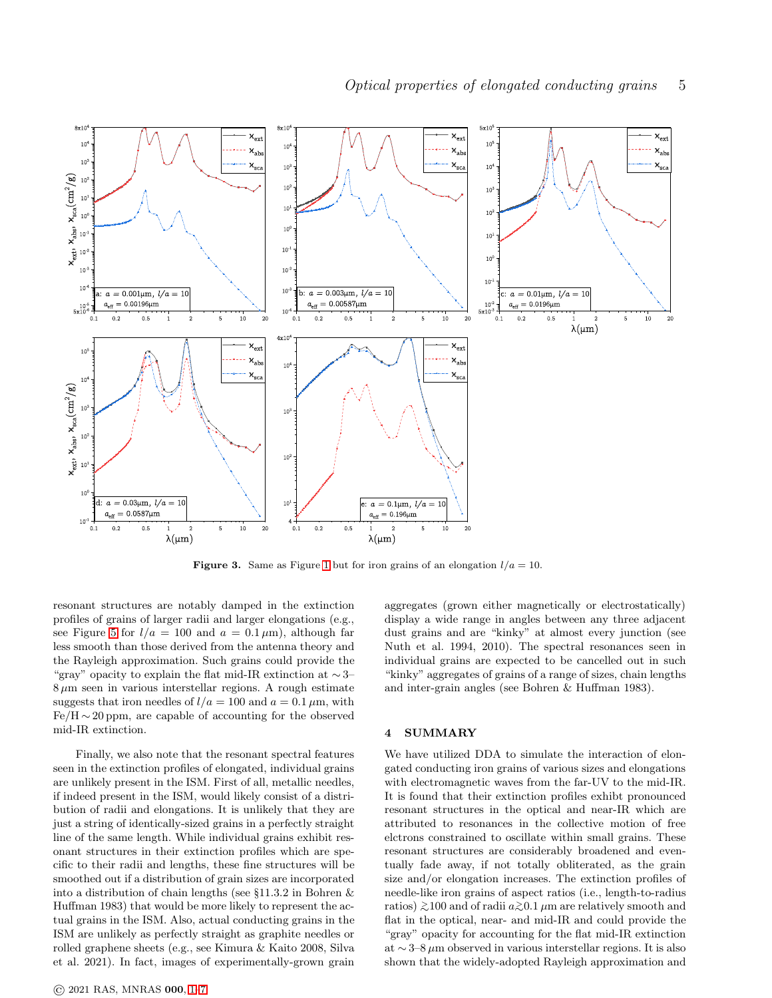

**Figure 3.** Same as Figure [1](#page-2-1) but for iron grains of an elongation  $l/a = 10$ .

resonant structures are notably damped in the extinction profiles of grains of larger radii and larger elongations (e.g., see Figure [5](#page-6-0) for  $l/a = 100$  and  $a = 0.1 \,\mu\text{m}$ , although far less smooth than those derived from the antenna theory and the Rayleigh approximation. Such grains could provide the "gray" opacity to explain the flat mid-IR extinction at  $\sim$ 3–  $8 \mu m$  seen in various interstellar regions. A rough estimate suggests that iron needles of  $l/a = 100$  and  $a = 0.1 \mu$ m, with  $Fe/H \sim 20$  ppm, are capable of accounting for the observed mid-IR extinction.

Finally, we also note that the resonant spectral features seen in the extinction profiles of elongated, individual grains are unlikely present in the ISM. First of all, metallic needles, if indeed present in the ISM, would likely consist of a distribution of radii and elongations. It is unlikely that they are just a string of identically-sized grains in a perfectly straight line of the same length. While individual grains exhibit resonant structures in their extinction profiles which are specific to their radii and lengths, these fine structures will be smoothed out if a distribution of grain sizes are incorporated into a distribution of chain lengths (see §11.3.2 in Bohren & Huffman 1983) that would be more likely to represent the actual grains in the ISM. Also, actual conducting grains in the ISM are unlikely as perfectly straight as graphite needles or rolled graphene sheets (e.g., see Kimura & Kaito 2008, Silva et al. 2021). In fact, images of experimentally-grown grain aggregates (grown either magnetically or electrostatically) display a wide range in angles between any three adjacent dust grains and are "kinky" at almost every junction (see Nuth et al. 1994, 2010). The spectral resonances seen in individual grains are expected to be cancelled out in such "kinky" aggregates of grains of a range of sizes, chain lengths and inter-grain angles (see Bohren & Huffman 1983).

## <span id="page-4-0"></span>4 SUMMARY

We have utilized DDA to simulate the interaction of elongated conducting iron grains of various sizes and elongations with electromagnetic waves from the far-UV to the mid-IR. It is found that their extinction profiles exhibt pronounced resonant structures in the optical and near-IR which are attributed to resonances in the collective motion of free elctrons constrained to oscillate within small grains. These resonant structures are considerably broadened and eventually fade away, if not totally obliterated, as the grain size and/or elongation increases. The extinction profiles of needle-like iron grains of aspect ratios (i.e., length-to-radius ratios)  $\gtrsim$ 100 and of radii  $a \gtrsim 0.1 \mu$ m are relatively smooth and flat in the optical, near- and mid-IR and could provide the "gray" opacity for accounting for the flat mid-IR extinction at ∼3–8  $\mu$ m observed in various interstellar regions. It is also shown that the widely-adopted Rayleigh approximation and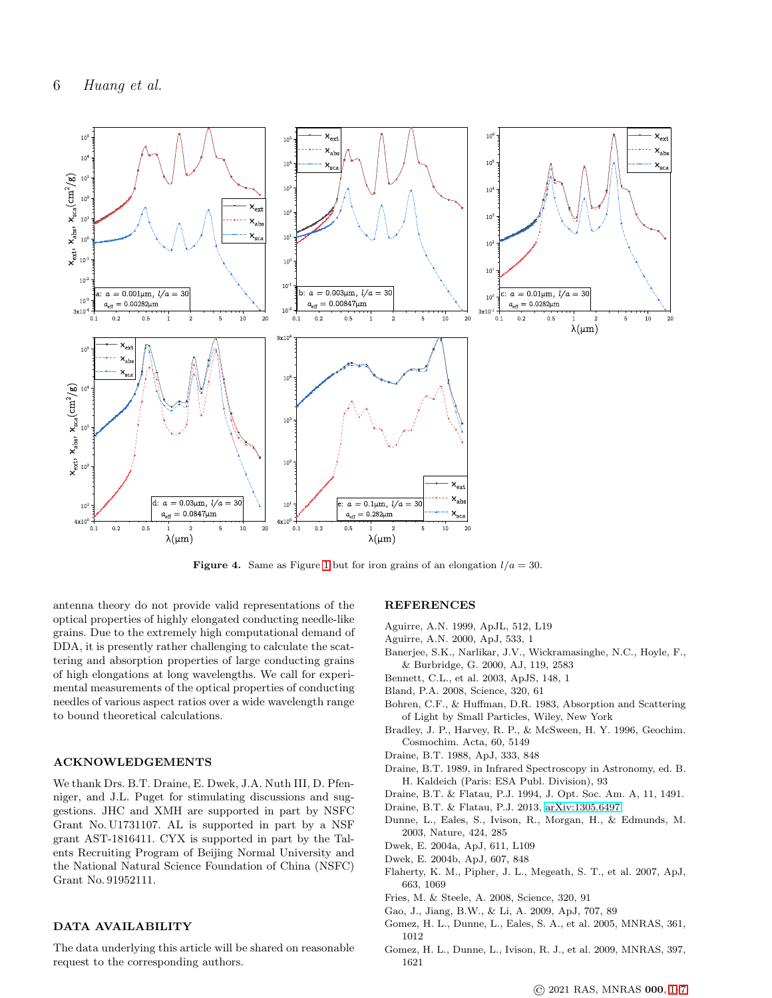

**Figure 4.** Same as Figure [1](#page-2-1) but for iron grains of an elongation  $l/a = 30$ .

antenna theory do not provide valid representations of the optical properties of highly elongated conducting needle-like grains. Due to the extremely high computational demand of DDA, it is presently rather challenging to calculate the scattering and absorption properties of large conducting grains of high elongations at long wavelengths. We call for experimental measurements of the optical properties of conducting needles of various aspect ratios over a wide wavelength range to bound theoretical calculations.

## ACKNOWLEDGEMENTS

We thank Drs. B.T. Draine, E. Dwek, J.A. Nuth III, D. Pfenniger, and J.L. Puget for stimulating discussions and suggestions. JHC and XMH are supported in part by NSFC Grant No. U1731107. AL is supported in part by a NSF grant AST-1816411. CYX is supported in part by the Talents Recruiting Program of Beijing Normal University and the National Natural Science Foundation of China (NSFC) Grant No. 91952111.

#### DATA AVAILABILITY

The data underlying this article will be shared on reasonable request to the corresponding authors.

### **REFERENCES**

- Aguirre, A.N. 1999, ApJL, 512, L19
- Aguirre, A.N. 2000, ApJ, 533, 1
- Banerjee, S.K., Narlikar, J.V., Wickramasinghe, N.C., Hoyle, F., & Burbridge, G. 2000, AJ, 119, 2583
- Bennett, C.L., et al. 2003, ApJS, 148, 1
- Bland, P.A. 2008, Science, 320, 61
- Bohren, C.F., & Huffman, D.R. 1983, Absorption and Scattering of Light by Small Particles, Wiley, New York
- Bradley, J. P., Harvey, R. P., & McSween, H. Y. 1996, Geochim. Cosmochim. Acta, 60, 5149
- Draine, B.T. 1988, ApJ, 333, 848
- Draine, B.T. 1989, in Infrared Spectroscopy in Astronomy, ed. B. H. Kaldeich (Paris: ESA Publ. Division), 93
- Draine, B.T. & Flatau, P.J. 1994, J. Opt. Soc. Am. A, 11, 1491.
- Draine, B.T. & Flatau, P.J. 2013, [arXiv:1305.6497](http://arxiv.org/abs/1305.6497)
- Dunne, L., Eales, S., Ivison, R., Morgan, H., & Edmunds, M. 2003, Nature, 424, 285
- Dwek, E. 2004a, ApJ, 611, L109
- Dwek, E. 2004b, ApJ, 607, 848
- Flaherty, K. M., Pipher, J. L., Megeath, S. T., et al. 2007, ApJ, 663, 1069
- Fries, M. & Steele, A. 2008, Science, 320, 91
- Gao, J., Jiang, B.W., & Li, A. 2009, ApJ, 707, 89
- Gomez, H. L., Dunne, L., Eales, S. A., et al. 2005, MNRAS, 361, 1012
- Gomez, H. L., Dunne, L., Ivison, R. J., et al. 2009, MNRAS, 397, 1621